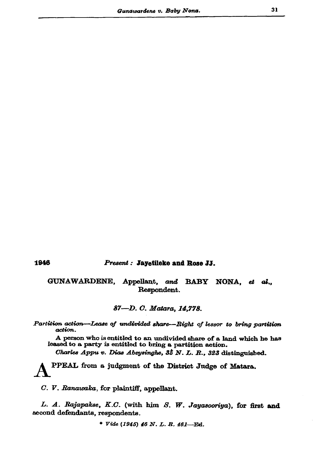## Present: Jayetileke and Rose JJ.

GUNAWARDENE, Appellant, and BABY NONA, et al., Respondent.

87-D. C. Matara, 14,778.

Partition action-Lease of undivided share-Right of lessor to bring partition action.

A person who is entitled to an undivided share of a land which he has leased to a party is entitled to bring a partition action.

Charles Appu v. Dias Abeysinghe, 35 N. L. R., 323 distinguished.

PPEAL from a judgment of the District Judge of Matara.

C. V. Ranawaka, for plaintiff, appellant.

L. A. Rajapakse, K.C. (with him S. W. Jayasooriya), for first and second defendants, respondents.

\* Vide (1945) 46 N. L. R. 461-Ed.